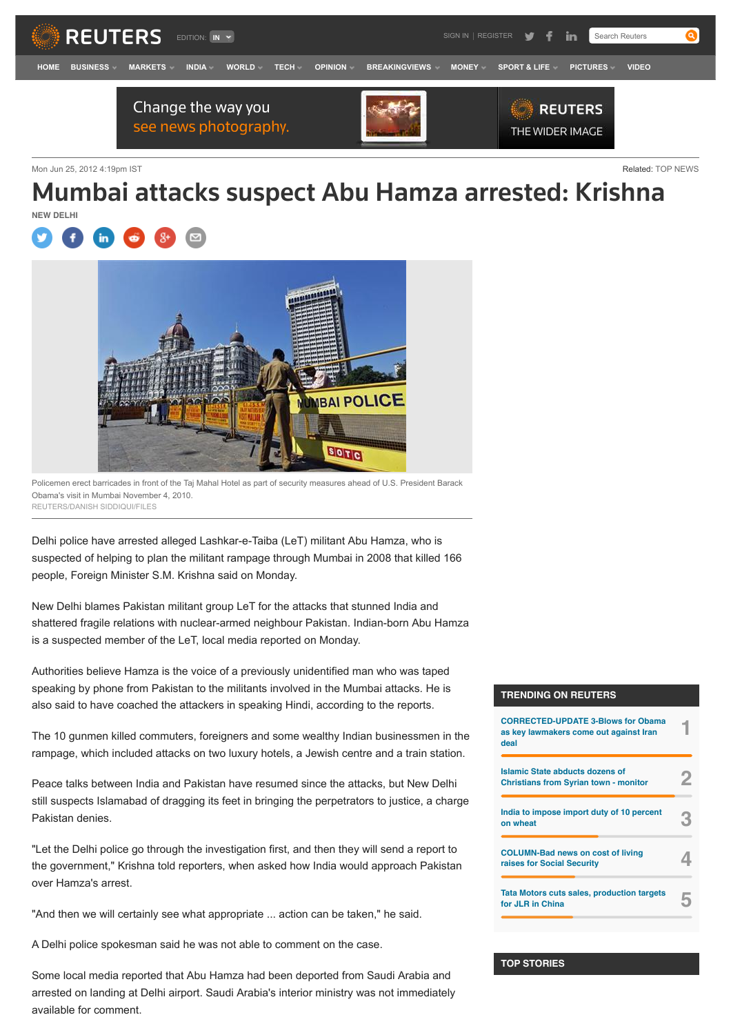

Mon Jun 25, 2012 4:19pm IST **Related: [TOP NEWS](http://in.reuters.com/news/top-news)** Related: TOP NEWS

# Mumbai attacks suspect Abu Hamza arrested: Krishna **NEW DELHI**





Policemen erect barricades in front of the Taj Mahal Hotel as part of security measures ahead of U.S. President Barack Obama's visit in Mumbai November 4, 2010. REUTERS/DANISH SIDDIQUI/FILES

Delhi police have arrested alleged Lashkar-e-Taiba (LeT) militant Abu Hamza, who is suspected of helping to plan the militant rampage through Mumbai in 2008 that killed 166 people, Foreign Minister S.M. Krishna said on Monday.

New Delhi blames Pakistan militant group LeT for the attacks that stunned India and shattered fragile relations with nuclear-armed neighbour Pakistan. Indian-born Abu Hamza is a suspected member of the LeT, local media reported on Monday.

Authorities believe Hamza is the voice of a previously unidentified man who was taped speaking by phone from Pakistan to the militants involved in the Mumbai attacks. He is also said to have coached the attackers in speaking Hindi, according to the reports.

The 10 gunmen killed commuters, foreigners and some wealthy Indian businessmen in the rampage, which included attacks on two luxury hotels, a Jewish centre and a train station.

Peace talks between India and Pakistan have resumed since the attacks, but New Delhi still suspects Islamabad of dragging its feet in bringing the perpetrators to justice, a charge Pakistan denies.

"Let the Delhi police go through the investigation first, and then they will send a report to the government," Krishna told reporters, when asked how India would approach Pakistan over Hamza's arrest.

"And then we will certainly see what appropriate ... action can be taken," he said.

A Delhi police spokesman said he was not able to comment on the case.

Some local media reported that Abu Hamza had been deported from Saudi Arabia and arrested on landing at Delhi airport. Saudi Arabia's interior ministry was not immediately available for comment.

## **TRENDING ON REUTERS**

| <b>CORRECTED-UPDATE 3-Blows for Obama</b><br>as key lawmakers come out against Iran<br>deal |  |
|---------------------------------------------------------------------------------------------|--|
| Islamic State abducts dozens of<br><b>Christians from Syrian town - monitor</b>             |  |
| India to impose import duty of 10 percent<br>on wheat                                       |  |
| <b>COLUMN-Bad news on cost of living</b><br>raises for Social Security                      |  |
| <b>Tata Motors cuts sales, production targets</b><br>for JLR in China                       |  |

#### **[TOP STORIES](http://in.reuters.com/finance)**